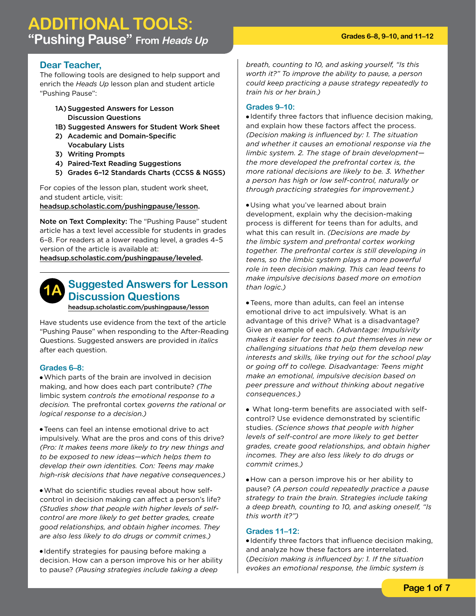## **Dear Teacher,**

The following tools are designed to help support and enrich the *Heads Up* lesson plan and student article "Pushing Pause":

- 1A) Suggested Answers for Lesson Discussion Questions
- 1B) Suggested Answers for Student Work Sheet
- 2) Academic and Domain-Specific Vocabulary Lists
- 3) Writing Prompts
- 4) Paired-Text Reading Suggestions
- 5) Grades 6–12 Standards Charts (CCSS & NGSS)

For copies of the lesson plan, student work sheet, and student article, visit:

headsup.scholastic.com/pushingpause/lesson.

Note on Text Complexity: The "Pushing Pause" student article has a text level accessible for students in grades 6–8. For readers at a lower reading level, a grades 4–5 version of the article is available at:

headsup.scholastic.com/pushingpause/leveled.

#### **Suggested Answers for Lesson Discussion Questions 1A**

headsup.scholastic.com/pushingpause/lesson

Have students use evidence from the text of the article "Pushing Pause" when responding to the After-Reading Questions. Suggested answers are provided in *italics* after each question.

## **Grades 6–8:**

●Which parts of the brain are involved in decision making, and how does each part contribute? *(The*  limbic system *controls the emotional response to a decision.* The prefrontal cortex *governs the rational or logical response to a decision.)*

● Teens can feel an intense emotional drive to act impulsively. What are the pros and cons of this drive? *(Pro: It makes teens more likely to try new things and to be exposed to new ideas—which helps them to develop their own identities. Con: Teens may make high-risk decisions that have negative consequences.)*

●What do scientific studies reveal about how selfcontrol in decision making can affect a person's life? *(Studies show that people with higher levels of selfcontrol are more likely to get better grades, create good relationships, and obtain higher incomes. They are also less likely to do drugs or commit crimes.)*

● Identify strategies for pausing before making a decision. How can a person improve his or her ability to pause? *(Pausing strategies include taking a deep* 

*breath, counting to 10, and asking yourself, "Is this worth it?" To improve the ability to pause, a person could keep practicing a pause strategy repeatedly to train his or her brain.)*

## **Grades 9–10:**

● Identify three factors that influence decision making, and explain how these factors affect the process. *(Decision making is influenced by: 1. The situation and whether it causes an emotional response via the limbic system. 2. The stage of brain development the more developed the prefrontal cortex is, the more rational decisions are likely to be. 3. Whether a person has high or low self-control, naturally or through practicing strategies for improvement.)*

● Using what you've learned about brain development, explain why the decision-making process is different for teens than for adults, and what this can result in. *(Decisions are made by the limbic system and prefrontal cortex working together. The prefrontal cortex is still developing in teens, so the limbic system plays a more powerful role in teen decision making. This can lead teens to make impulsive decisions based more on emotion than logic.)*

● Teens, more than adults, can feel an intense emotional drive to act impulsively. What is an advantage of this drive? What is a disadvantage? Give an example of each. *(Advantage: Impulsivity makes it easier for teens to put themselves in new or challenging situations that help them develop new interests and skills, like trying out for the school play or going off to college. Disadvantage: Teens might make an emotional, impulsive decision based on peer pressure and without thinking about negative consequences.)*

● What long-term benefits are associated with selfcontrol? Use evidence demonstrated by scientific studies. *(Science shows that people with higher levels of self-control are more likely to get better grades, create good relationships, and obtain higher incomes. They are also less likely to do drugs or commit crimes.)*

● How can a person improve his or her ability to pause? *(A person could repeatedly practice a pause strategy to train the brain. Strategies include taking a deep breath, counting to 10, and asking oneself, "Is this worth it?")*

#### **Grades 11–12:**

● Identify three factors that influence decision making, and analyze how these factors are interrelated. (*Decision making is influenced by: 1. If the situation evokes an emotional response, the limbic system is*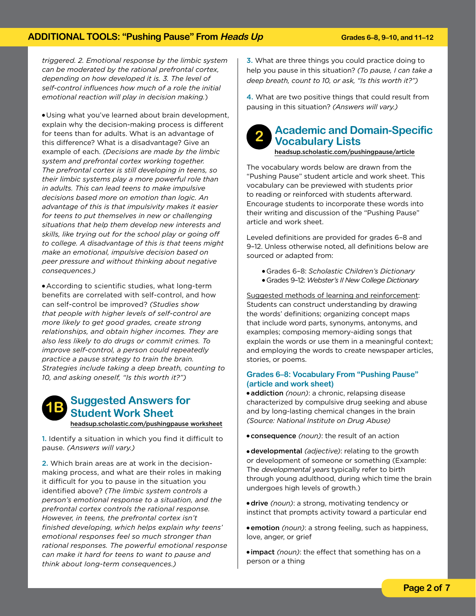*triggered. 2. Emotional response by the limbic system can be moderated by the rational prefrontal cortex, depending on how developed it is. 3. The level of self-control influences how much of a role the initial emotional reaction will play in decision making.*)

● Using what you've learned about brain development, explain why the decision-making process is different for teens than for adults. What is an advantage of this difference? What is a disadvantage? Give an example of each. *(Decisions are made by the limbic system and prefrontal cortex working together. The prefrontal cortex is still developing in teens, so their limbic systems play a more powerful role than in adults. This can lead teens to make impulsive decisions based more on emotion than logic. An advantage of this is that impulsivity makes it easier for teens to put themselves in new or challenging situations that help them develop new interests and skills, like trying out for the school play or going off to college. A disadvantage of this is that teens might make an emotional, impulsive decision based on peer pressure and without thinking about negative consequences.)*

● According to scientific studies, what long-term benefits are correlated with self-control, and how can self-control be improved? *(Studies show that people with higher levels of self-control are more likely to get good grades, create strong relationships, and obtain higher incomes. They are also less likely to do drugs or commit crimes. To improve self-control, a person could repeatedly practice a pause strategy to train the brain. Strategies include taking a deep breath, counting to 10, and asking oneself, "Is this worth it?")*



1. Identify a situation in which you find it difficult to pause. *(Answers will vary.)*

2. Which brain areas are at work in the decisionmaking process, and what are their roles in making it difficult for you to pause in the situation you identified above? *(The limbic system controls a person's emotional response to a situation, and the prefrontal cortex controls the rational response. However, in teens, the prefrontal cortex isn't finished developing, which helps explain why teens' emotional responses feel so much stronger than rational responses. The powerful emotional response can make it hard for teens to want to pause and think about long-term consequences.)*

3. What are three things you could practice doing to help you pause in this situation? *(To pause, I can take a deep breath, count to 10, or ask, "Is this worth it?")*

4. What are two positive things that could result from pausing in this situation? *(Answers will vary.)*

#### **Academic and Domain-Specific Vocabulary Lists 2**

#### headsup.scholastic.com/pushingpause/article

The vocabulary words below are drawn from the "Pushing Pause" student article and work sheet. This vocabulary can be previewed with students prior to reading or reinforced with students afterward. Encourage students to incorporate these words into their writing and discussion of the "Pushing Pause" article and work sheet.

Leveled definitions are provided for grades 6–8 and 9–12. Unless otherwise noted, all definitions below are sourced or adapted from:

- Grades 6–8: *Scholastic Children's Dictionary*
- Grades 9–12: *Webster's II New College Dictionary*

Suggested methods of learning and reinforcement: Students can construct understanding by drawing the words' definitions; organizing concept maps that include word parts, synonyms, antonyms, and examples; composing memory-aiding songs that explain the words or use them in a meaningful context; and employing the words to create newspaper articles, stories, or poems.

#### **Grades 6–8: Vocabulary From "Pushing Pause" (article and work sheet)**

● addiction *(noun)*: a chronic, relapsing disease characterized by compulsive drug seeking and abuse and by long-lasting chemical changes in the brain *(Source: National Institute on Drug Abuse)* 

● consequence *(noun)*: the result of an action

● developmental *(adjective)*: relating to the growth or development of someone or something (Example: The *developmental years* typically refer to birth through young adulthood, during which time the brain undergoes high levels of growth.)

● drive *(noun)*: a strong, motivating tendency or instinct that prompts activity toward a particular end

● emotion *(noun)*: a strong feeling, such as happiness, love, anger, or grief

● impact *(noun)*: the effect that something has on a person or a thing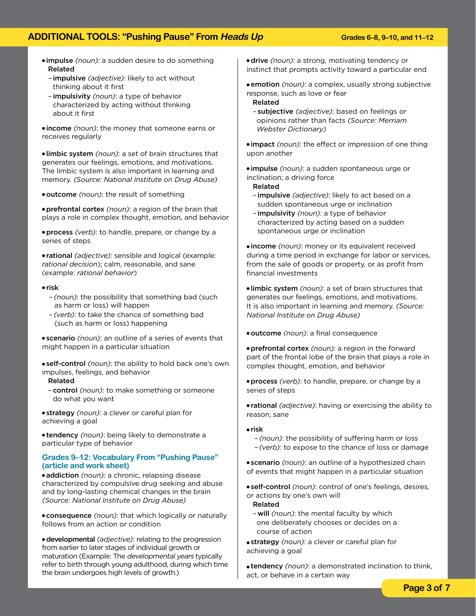- impulse *(noun)*: a sudden desire to do something Related
	- impulsive *(adjective)*: likely to act without thinking about it first
	- impulsivity *(noun)*: a type of behavior characterized by acting without thinking about it first

● income *(noun)*: the money that someone earns or receives regularly

● limbic system *(noun)*: a set of brain structures that generates our feelings, emotions, and motivations. The limbic system is also important in learning and memory. *(Source: National Institute on Drug Abuse)*

• outcome *(noun)*: the result of something

● prefrontal cortex *(noun)*: a region of the brain that plays a role in complex thought, emotion, and behavior

● process *(verb)*: to handle, prepare, or change by a series of steps

● rational *(adjective)*: sensible and logical (example: *rational decision*); calm, reasonable, and sane (example: *rational behavior*)

#### ● risk

- *(noun)*: the possibility that something bad (such as harm or loss) will happen
- *(verb)*: to take the chance of something bad (such as harm or loss) happening

● scenario *(noun)*: an outline of a series of events that might happen in a particular situation

● self-control *(noun)*: the ability to hold back one's own impulses, feelings, and behavior

### Related

– control *(noun)*: to make something or someone do what you want

● strategy *(noun)*: a clever or careful plan for achieving a goal

● tendency *(noun)*: being likely to demonstrate a particular type of behavior

#### **Grades 9–12: Vocabulary From "Pushing Pause" (article and work sheet)**

● addiction *(noun)*: a chronic, relapsing disease characterized by compulsive drug seeking and abuse and by long-lasting chemical changes in the brain *(Source: National Institute on Drug Abuse)* 

● consequence *(noun)*: that which logically or naturally follows from an action or condition

● developmental *(adjective)*: relating to the progression from earlier to later stages of individual growth or maturation (Example: The developmental years typically refer to birth through young adulthood, during which time the brain undergoes high levels of growth.)

● drive *(noun)*: a strong, motivating tendency or instinct that prompts activity toward a particular end

● emotion *(noun)*: a complex, usually strong subjective response, such as love or fear

Related

– subjective *(adjective)*: based on feelings or opinions rather than facts *(Source: Merriam Webster Dictionary)*

● impact *(noun)*: the effect or impression of one thing upon another

● impulse *(noun)*: a sudden spontaneous urge or inclination; a driving force

- Related
- impulsive *(adjective)*: likely to act based on a sudden spontaneous urge or inclination
- impulsivity *(noun)*: a type of behavior characterized by acting based on a sudden spontaneous urge or inclination

• income *(noun)*: money or its equivalent received during a time period in exchange for labor or services, from the sale of goods or property, or as profit from financial investments

● limbic system *(noun)*: a set of brain structures that generates our feelings, emotions, and motivations. It is also important in learning and memory. *(Source: National Institute on Drug Abuse)* 

● outcome *(noun)*: a final consequence

● prefrontal cortex *(noun)*: a region in the forward part of the frontal lobe of the brain that plays a role in complex thought, emotion, and behavior

● process *(verb)*: to handle, prepare, or change by a series of steps

● rational *(adjective)*: having or exercising the ability to reason; sane

#### ● risk

– *(noun)*: the possibility of suffering harm or loss – *(verb)*: to expose to the chance of loss or damage

● scenario *(noun)*: an outline of a hypothesized chain of events that might happen in a particular situation

● self-control *(noun)*: control of one's feelings, desires, or actions by one's own will

#### Related

– will *(noun)*: the mental faculty by which one deliberately chooses or decides on a course of action

● strategy *(noun)*: a clever or careful plan for achieving a goal

● tendency *(noun)*: a demonstrated inclination to think, act, or behave in a certain way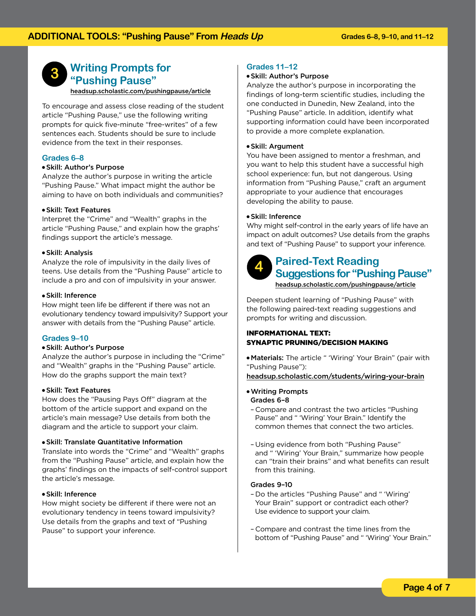

## **Writing Prompts for "Pushing Pause"**

headsup.scholastic.com/pushingpause/article

To encourage and assess close reading of the student article "Pushing Pause," use the following writing prompts for quick five-minute "free-writes" of a few sentences each. Students should be sure to include evidence from the text in their responses.

#### **Grades 6–8**

#### ● Skill: Author's Purpose

Analyze the author's purpose in writing the article "Pushing Pause." What impact might the author be aiming to have on both individuals and communities?

#### ● Skill: Text Features

Interpret the "Crime" and "Wealth" graphs in the article "Pushing Pause," and explain how the graphs' findings support the article's message.

#### ● Skill: Analysis

Analyze the role of impulsivity in the daily lives of teens. Use details from the "Pushing Pause" article to include a pro and con of impulsivity in your answer.

#### ● Skill: Inference

How might teen life be different if there was not an evolutionary tendency toward impulsivity? Support your answer with details from the "Pushing Pause" article.

#### **Grades 9–10**

#### ● Skill: Author's Purpose

Analyze the author's purpose in including the "Crime" and "Wealth" graphs in the "Pushing Pause" article. How do the graphs support the main text?

#### ● Skill: Text Features

How does the "Pausing Pays Off" diagram at the bottom of the article support and expand on the article's main message? Use details from both the diagram and the article to support your claim.

#### ● Skill: Translate Quantitative Information

Translate into words the "Crime" and "Wealth" graphs from the "Pushing Pause" article, and explain how the graphs' findings on the impacts of self-control support the article's message.

#### ● Skill: Inference

How might society be different if there were not an evolutionary tendency in teens toward impulsivity? Use details from the graphs and text of "Pushing Pause" to support your inference.

#### **Grades 11–12**

#### ● Skill: Author's Purpose

Analyze the author's purpose in incorporating the findings of long-term scientific studies, including the one conducted in Dunedin, New Zealand, into the "Pushing Pause" article. In addition, identify what supporting information could have been incorporated to provide a more complete explanation.

#### ● Skill: Argument

You have been assigned to mentor a freshman, and you want to help this student have a successful high school experience: fun, but not dangerous. Using information from "Pushing Pause," craft an argument appropriate to your audience that encourages developing the ability to pause.

#### ● Skill: Inference

Why might self-control in the early years of life have an impact on adult outcomes? Use details from the graphs and text of "Pushing Pause" to support your inference.



## **Paired-Text Reading Suggestions for "Pushing Pause"** headsup.scholastic.com/pushingpause/article

Deepen student learning of "Pushing Pause" with the following paired-text reading suggestions and prompts for writing and discussion.

#### INFORMATIONAL TEXT: SYNAPTIC PRUNING/DECISION MAKING

● Materials: The article " 'Wiring' Your Brain" (pair with "Pushing Pause"):

headsup.scholastic.com/students/wiring-your-brain

#### ●Writing Prompts Grades 6–8

- Compare and contrast the two articles "Pushing Pause" and " 'Wiring' Your Brain." Identify the common themes that connect the two articles.
- Using evidence from both "Pushing Pause" and " 'Wiring' Your Brain," summarize how people can "train their brains" and what benefits can result from this training.

#### Grades 9–10

- Do the articles "Pushing Pause" and " 'Wiring' Your Brain" support or contradict each other? Use evidence to support your claim.
- Compare and contrast the time lines from the bottom of "Pushing Pause" and " 'Wiring' Your Brain."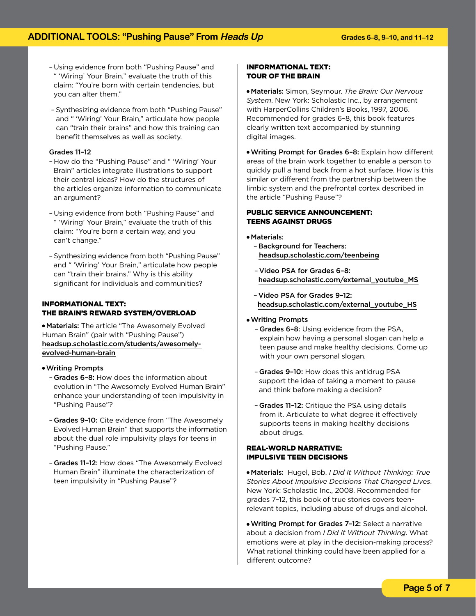- Using evidence from both "Pushing Pause" and " 'Wiring' Your Brain," evaluate the truth of this claim: "You're born with certain tendencies, but you can alter them."
- Synthesizing evidence from both "Pushing Pause" and " 'Wiring' Your Brain," articulate how people can "train their brains" and how this training can benefit themselves as well as society.

#### Grades 11–12

- How do the "Pushing Pause" and " 'Wiring' Your Brain" articles integrate illustrations to support their central ideas? How do the structures of the articles organize information to communicate an argument?
- Using evidence from both "Pushing Pause" and " 'Wiring' Your Brain," evaluate the truth of this claim: "You're born a certain way, and you can't change."
- Synthesizing evidence from both "Pushing Pause" and " 'Wiring' Your Brain," articulate how people can "train their brains." Why is this ability significant for individuals and communities?

#### INFORMATIONAL TEXT: THE BRAIN'S REWARD SYSTEM/OVERLOAD

● Materials: The article "The Awesomely Evolved Human Brain" (pair with "Pushing Pause") headsup.scholastic.com/students/awesomelyevolved-human-brain

#### ●Writing Prompts

- Grades 6–8: How does the information about evolution in "The Awesomely Evolved Human Brain" enhance your understanding of teen impulsivity in "Pushing Pause"?
- Grades 9–10: Cite evidence from "The Awesomely Evolved Human Brain" that supports the information about the dual role impulsivity plays for teens in "Pushing Pause."
- Grades 11-12: How does "The Awesomely Evolved Human Brain" illuminate the characterization of teen impulsivity in "Pushing Pause"?

#### INFORMATIONAL TEXT: TOUR OF THE BRAIN

● Materials: Simon, Seymour. *The Brain: Our Nervous System*. New York: Scholastic Inc., by arrangement with HarperCollins Children's Books, 1997, 2006. Recommended for grades 6–8, this book features clearly written text accompanied by stunning digital images.

●Writing Prompt for Grades 6–8: Explain how different areas of the brain work together to enable a person to quickly pull a hand back from a hot surface. How is this similar or different from the partnership between the limbic system and the prefrontal cortex described in the article "Pushing Pause"?

#### PUBLIC SERVICE ANNOUNCEMENT: TEENS AGAINST DRUGS

● Materials:

- Background for Teachers: headsup.scholastic.com/teenbeing
- Video PSA for Grades 6–8: headsup.scholastic.com/external\_youtube\_MS
- Video PSA for Grades 9–12: headsup.scholastic.com/external\_youtube\_HS

#### ●Writing Prompts

- Grades 6–8: Using evidence from the PSA, explain how having a personal slogan can help a teen pause and make healthy decisions. Come up with your own personal slogan.
- Grades 9–10: How does this antidrug PSA support the idea of taking a moment to pause and think before making a decision?
- Grades 11–12: Critique the PSA using details from it. Articulate to what degree it effectively supports teens in making healthy decisions about drugs.

#### REAL-WORLD NARRATIVE: IMPULSIVE TEEN DECISIONS

● Materials: Hugel, Bob. *I Did It Without Thinking: True Stories About Impulsive Decisions That Changed Lives*. New York: Scholastic Inc., 2008. Recommended for grades 7–12, this book of true stories covers teenrelevant topics, including abuse of drugs and alcohol.

●Writing Prompt for Grades 7–12: Select a narrative about a decision from *I Did It Without Thinking*. What emotions were at play in the decision-making process? What rational thinking could have been applied for a different outcome?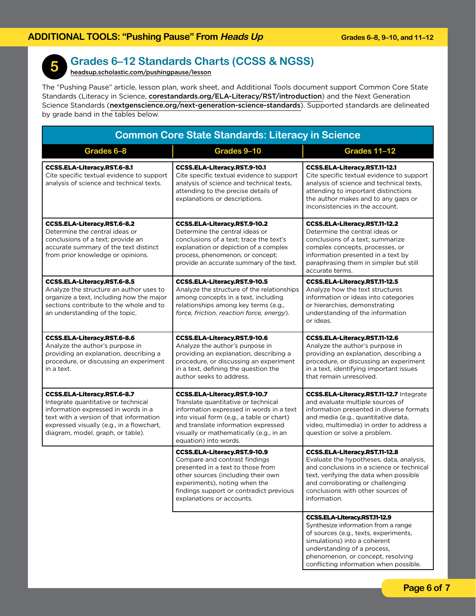

# **Grades 6–12 Standards Charts (CCSS & NGSS)**

headsup.scholastic.com/pushingpause/lesson

The "Pushing Pause" article, lesson plan, work sheet, and Additional Tools document support Common Core State Standards (Literacy in Science, corestandards.org/ELA-Literacy/RST/introduction) and the Next Generation Science Standards (nextgenscience.org/next-generation-science-standards). Supported standards are delineated by grade band in the tables below.

| <b>Common Core State Standards: Literacy in Science</b>                                                                                                                                                                                |                                                                                                                                                                                                                                                                         |                                                                                                                                                                                                                                                                    |
|----------------------------------------------------------------------------------------------------------------------------------------------------------------------------------------------------------------------------------------|-------------------------------------------------------------------------------------------------------------------------------------------------------------------------------------------------------------------------------------------------------------------------|--------------------------------------------------------------------------------------------------------------------------------------------------------------------------------------------------------------------------------------------------------------------|
| Grades 6-8                                                                                                                                                                                                                             | Grades 9-10                                                                                                                                                                                                                                                             | Grades 11-12                                                                                                                                                                                                                                                       |
| <b>CCSS.ELA-Literacy.RST.6-8.1</b><br>Cite specific textual evidence to support<br>analysis of science and technical texts.                                                                                                            | <b>CCSS.ELA-Literacy.RST.9-10.1</b><br>Cite specific textual evidence to support<br>analysis of science and technical texts,<br>attending to the precise details of<br>explanations or descriptions.                                                                    | CCSS.ELA-Literacy.RST.11-12.1<br>Cite specific textual evidence to support<br>analysis of science and technical texts,<br>attending to important distinctions<br>the author makes and to any gaps or<br>inconsistencies in the account.                            |
| <b>CCSS.ELA-Literacy.RST.6-8.2</b><br>Determine the central ideas or<br>conclusions of a text; provide an<br>accurate summary of the text distinct<br>from prior knowledge or opinions.                                                | CCSS.ELA-Literacy.RST.9-10.2<br>Determine the central ideas or<br>conclusions of a text: trace the text's<br>explanation or depiction of a complex<br>process, phenomenon, or concept;<br>provide an accurate summary of the text.                                      | CCSS.ELA-Literacy.RST.11-12.2<br>Determine the central ideas or<br>conclusions of a text; summarize<br>complex concepts, processes, or<br>information presented in a text by<br>paraphrasing them in simpler but still<br>accurate terms.                          |
| <b>CCSS.ELA-Literacy.RST.6-8.5</b><br>Analyze the structure an author uses to<br>organize a text, including how the major<br>sections contribute to the whole and to<br>an understanding of the topic.                                 | CCSS.ELA-Literacy.RST.9-10.5<br>Analyze the structure of the relationships<br>among concepts in a text, including<br>relationships among key terms (e.g.,<br>force, friction, reaction force, energy).                                                                  | CCSS.ELA-Literacy.RST.11-12.5<br>Analyze how the text structures<br>information or ideas into categories<br>or hierarchies, demonstrating<br>understanding of the information<br>or ideas.                                                                         |
| <b>CCSS.ELA-Literacy.RST.6-8.6</b><br>Analyze the author's purpose in<br>providing an explanation, describing a<br>procedure, or discussing an experiment<br>in a text.                                                                | CCSS.ELA-Literacy.RST.9-10.6<br>Analyze the author's purpose in<br>providing an explanation, describing a<br>procedure, or discussing an experiment<br>in a text, defining the question the<br>author seeks to address.                                                 | CCSS.ELA-Literacy.RST.11-12.6<br>Analyze the author's purpose in<br>providing an explanation, describing a<br>procedure, or discussing an experiment<br>in a text, identifying important issues<br>that remain unresolved.                                         |
| CCSS.ELA-Literacy.RST.6-8.7<br>Integrate quantitative or technical<br>information expressed in words in a<br>text with a version of that information<br>expressed visually (e.g., in a flowchart,<br>diagram, model, graph, or table). | CCSS.ELA-Literacy.RST.9-10.7<br>Translate quantitative or technical<br>information expressed in words in a text<br>into visual form (e.g., a table or chart)<br>and translate information expressed<br>visually or mathematically (e.g., in an<br>equation) into words. | <b>CCSS.ELA-Literacy.RST.11-12.7 Integrate</b><br>and evaluate multiple sources of<br>information presented in diverse formats<br>and media (e.g., quantitative data,<br>video, multimedia) in order to address a<br>question or solve a problem.                  |
|                                                                                                                                                                                                                                        | CCSS.ELA-Literacy.RST.9-10.9<br>Compare and contrast findings<br>presented in a text to those from<br>other sources (including their own<br>experiments), noting when the<br>findings support or contradict previous<br>explanations or accounts.                       | CCSS.ELA-Literacy.RST.11-12.8<br>Evaluate the hypotheses, data, analysis,<br>and conclusions in a science or technical<br>text, verifying the data when possible<br>and corroborating or challenging<br>conclusions with other sources of<br>information.          |
|                                                                                                                                                                                                                                        |                                                                                                                                                                                                                                                                         | <b>CCSS.ELA-Literacy.RST.11-12.9</b><br>Synthesize information from a range<br>of sources (e.g., texts, experiments,<br>simulations) into a coherent<br>understanding of a process,<br>phenomenon, or concept, resolving<br>conflicting information when possible. |